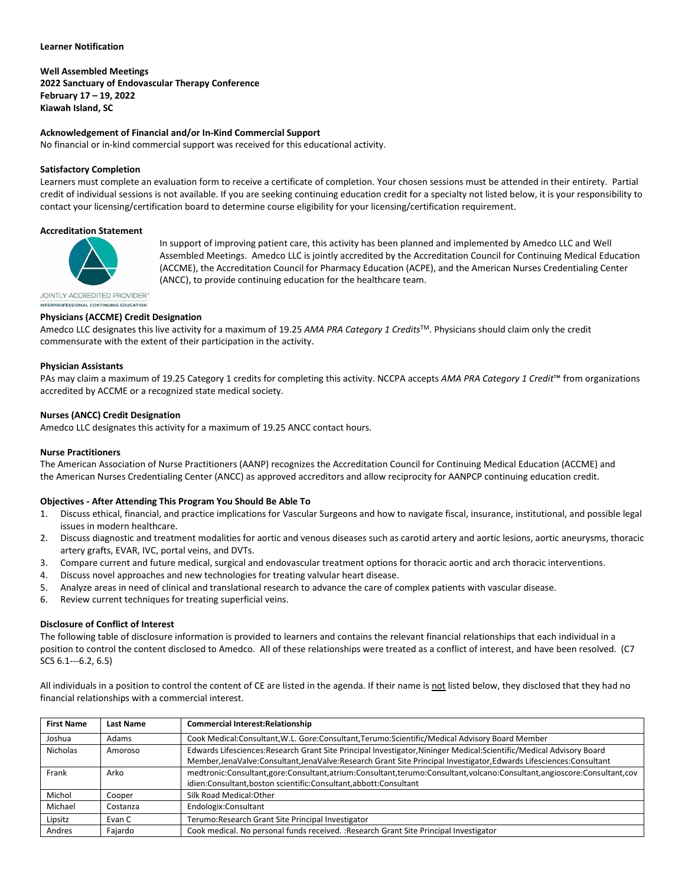#### **Learner Notification**

**Well Assembled Meetings 2022 Sanctuary of Endovascular Therapy Conference February 17 – 19, 2022 Kiawah Island, SC**

## **Acknowledgement of Financial and/or In-Kind Commercial Support**

No financial or in-kind commercial support was received for this educational activity.

## **Satisfactory Completion**

Learners must complete an evaluation form to receive a certificate of completion. Your chosen sessions must be attended in their entirety. Partial credit of individual sessions is not available. If you are seeking continuing education credit for a specialty not listed below, it is your responsibility to contact your licensing/certification board to determine course eligibility for your licensing/certification requirement.

#### **Accreditation Statement**



In support of improving patient care, this activity has been planned and implemented by Amedco LLC and Well Assembled Meetings. Amedco LLC is jointly accredited by the Accreditation Council for Continuing Medical Education (ACCME), the Accreditation Council for Pharmacy Education (ACPE), and the American Nurses Credentialing Center (ANCC), to provide continuing education for the healthcare team.

JOINTLY ACCREDITED PROVIDER" INTERPROFESSIONAL CONTINUING EDUCATION

## **Physicians (ACCME) Credit Designation**

Amedco LLC designates this live activity for a maximum of 19.25 *AMA PRA Category 1 Credits*TM. Physicians should claim only the credit commensurate with the extent of their participation in the activity.

#### **Physician Assistants**

PAs may claim a maximum of 19.25 Category 1 credits for completing this activity. NCCPA accepts *AMA PRA Category 1 Credit*™ from organizations accredited by ACCME or a recognized state medical society.

## **Nurses (ANCC) Credit Designation**

Amedco LLC designates this activity for a maximum of 19.25 ANCC contact hours.

## **Nurse Practitioners**

The American Association of Nurse Practitioners (AANP) recognizes the Accreditation Council for Continuing Medical Education (ACCME) and the American Nurses Credentialing Center (ANCC) as approved accreditors and allow reciprocity for AANPCP continuing education credit.

## **Objectives - After Attending This Program You Should Be Able To**

- 1. Discuss ethical, financial, and practice implications for Vascular Surgeons and how to navigate fiscal, insurance, institutional, and possible legal issues in modern healthcare.
- 2. Discuss diagnostic and treatment modalities for aortic and venous diseases such as carotid artery and aortic lesions, aortic aneurysms, thoracic artery grafts, EVAR, IVC, portal veins, and DVTs.
- 3. Compare current and future medical, surgical and endovascular treatment options for thoracic aortic and arch thoracic interventions.
- 4. Discuss novel approaches and new technologies for treating valvular heart disease.
- 5. Analyze areas in need of clinical and translational research to advance the care of complex patients with vascular disease.
- 6. Review current techniques for treating superficial veins.

## **Disclosure of Conflict of Interest**

The following table of disclosure information is provided to learners and contains the relevant financial relationships that each individual in a position to control the content disclosed to Amedco. All of these relationships were treated as a conflict of interest, and have been resolved. (C7 SCS 6.1--‐6.2, 6.5)

All individuals in a position to control the content of CE are listed in the agenda. If their name is not listed below, they disclosed that they had no financial relationships with a commercial interest.

| <b>First Name</b> | Last Name | <b>Commercial Interest: Relationship</b>                                                                               |
|-------------------|-----------|------------------------------------------------------------------------------------------------------------------------|
| Joshua            | Adams     | Cook Medical:Consultant, W.L. Gore:Consultant, Terumo:Scientific/Medical Advisory Board Member                         |
| <b>Nicholas</b>   | Amoroso   | Edwards Lifesciences: Research Grant Site Principal Investigator, Nininger Medical: Scientific/Medical Advisory Board  |
|                   |           | Member, JenaValve: Consultant, JenaValve: Research Grant Site Principal Investigator, Edwards Lifesciences: Consultant |
| Frank             | Arko      | medtronic:Consultant,gore:Consultant,atrium:Consultant,terumo:Consultant,volcano:Consultant,angioscore:Consultant,cov  |
|                   |           | idien:Consultant,boston scientific:Consultant,abbott:Consultant                                                        |
| Michol            | Cooper    | Silk Road Medical: Other                                                                                               |
| Michael           | Costanza  | Endologix:Consultant                                                                                                   |
| Lipsitz           | Evan C    | Terumo:Research Grant Site Principal Investigator                                                                      |
| Andres            | Fajardo   | Cook medical. No personal funds received. : Research Grant Site Principal Investigator                                 |